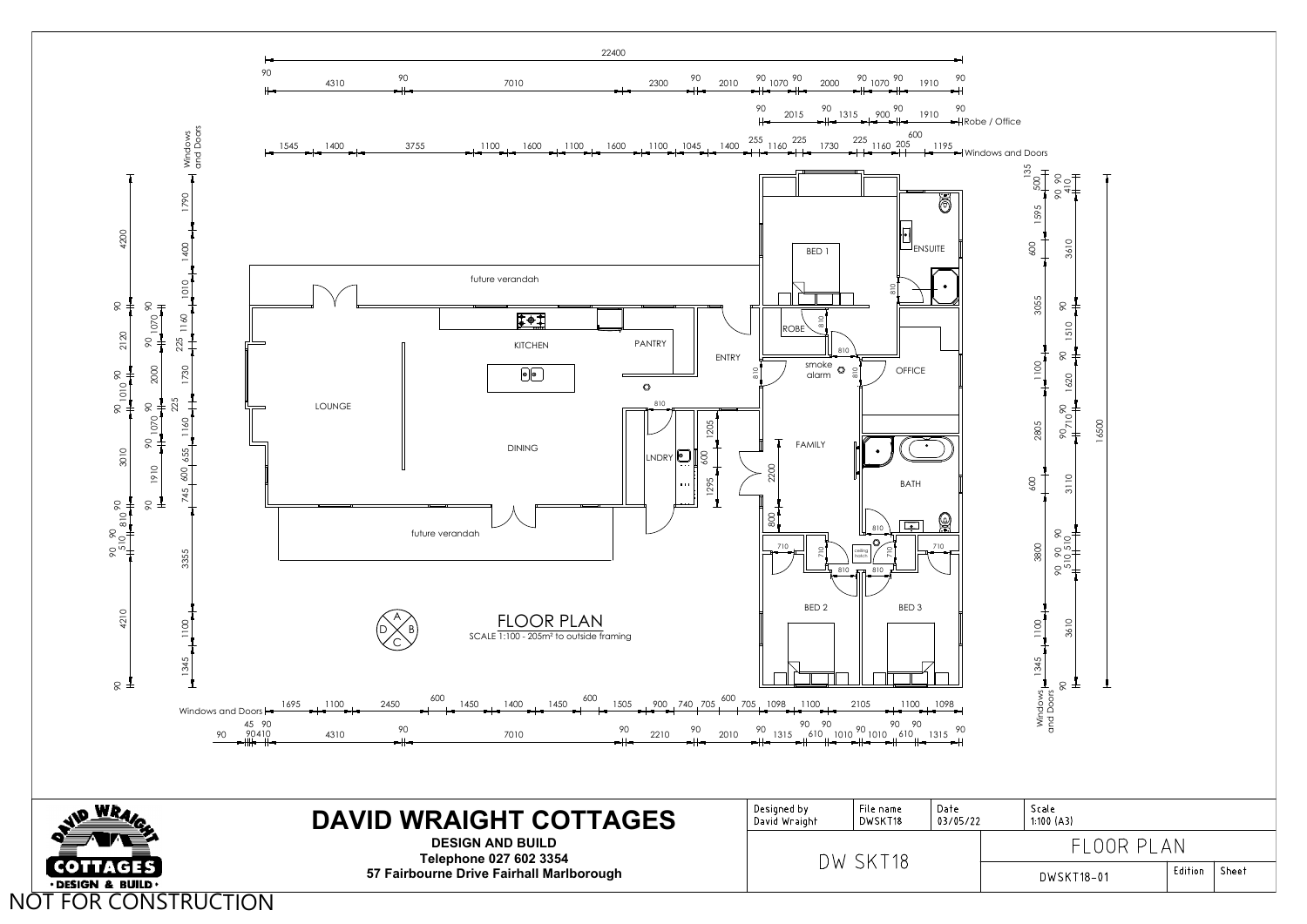

|              | Scale<br>1:100(A3) |         |       |
|--------------|--------------------|---------|-------|
| FI OOR PI AN |                    |         |       |
|              | DWSKT18-01         | Edition | Sheet |
|              |                    |         |       |